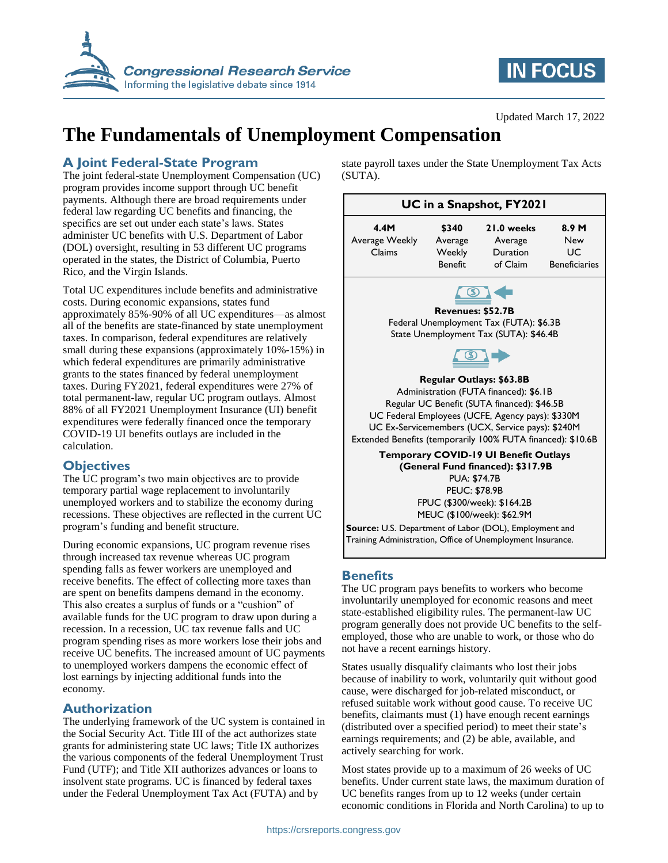

# **IN FOCUS**

#### Updated March 17, 2022

# **The Fundamentals of Unemployment Compensation**

### **A Joint Federal-State Program**

The joint federal-state Unemployment Compensation (UC) program provides income support through UC benefit payments. Although there are broad requirements under federal law regarding UC benefits and financing, the specifics are set out under each state's laws. States administer UC benefits with U.S. Department of Labor (DOL) oversight, resulting in 53 different UC programs operated in the states, the District of Columbia, Puerto Rico, and the Virgin Islands.

Total UC expenditures include benefits and administrative costs. During economic expansions, states fund approximately 85%-90% of all UC expenditures—as almost all of the benefits are state-financed by state unemployment taxes. In comparison, federal expenditures are relatively small during these expansions (approximately 10%-15%) in which federal expenditures are primarily administrative grants to the states financed by federal unemployment taxes. During FY2021, federal expenditures were 27% of total permanent-law, regular UC program outlays. Almost 88% of all FY2021 Unemployment Insurance (UI) benefit expenditures were federally financed once the temporary COVID-19 UI benefits outlays are included in the calculation.

### **Objectives**

The UC program's two main objectives are to provide temporary partial wage replacement to involuntarily unemployed workers and to stabilize the economy during recessions. These objectives are reflected in the current UC program's funding and benefit structure.

During economic expansions, UC program revenue rises through increased tax revenue whereas UC program spending falls as fewer workers are unemployed and receive benefits. The effect of collecting more taxes than are spent on benefits dampens demand in the economy. This also creates a surplus of funds or a "cushion" of available funds for the UC program to draw upon during a recession. In a recession, UC tax revenue falls and UC program spending rises as more workers lose their jobs and receive UC benefits. The increased amount of UC payments to unemployed workers dampens the economic effect of lost earnings by injecting additional funds into the economy.

### **Authorization**

The underlying framework of the UC system is contained in the Social Security Act. Title III of the act authorizes state grants for administering state UC laws; Title IX authorizes the various components of the federal Unemployment Trust Fund (UTF); and Title XII authorizes advances or loans to insolvent state programs. UC is financed by federal taxes under the Federal Unemployment Tax Act (FUTA) and by

state payroll taxes under the State Unemployment Tax Acts (SUTA).

| UC in a Snapshot, FY2021                                                                                                                                                                                                                                                                        |                |            |                      |
|-------------------------------------------------------------------------------------------------------------------------------------------------------------------------------------------------------------------------------------------------------------------------------------------------|----------------|------------|----------------------|
| 4.4M                                                                                                                                                                                                                                                                                            | \$340          | 21.0 weeks | 8.9 <sub>M</sub>     |
| Average Weekly                                                                                                                                                                                                                                                                                  | Average        | Average    | <b>New</b>           |
| Claims                                                                                                                                                                                                                                                                                          | Weekly         | Duration   | UC                   |
|                                                                                                                                                                                                                                                                                                 | <b>Benefit</b> | of Claim   | <b>Beneficiaries</b> |
|                                                                                                                                                                                                                                                                                                 |                |            |                      |
| <b>Revenues: \$52.7B</b>                                                                                                                                                                                                                                                                        |                |            |                      |
| Federal Unemployment Tax (FUTA): \$6.3B                                                                                                                                                                                                                                                         |                |            |                      |
| State Unemployment Tax (SUTA): \$46.4B                                                                                                                                                                                                                                                          |                |            |                      |
|                                                                                                                                                                                                                                                                                                 |                |            |                      |
| <b>Regular Outlays: \$63.8B</b><br>Administration (FUTA financed): \$6.1B<br>Regular UC Benefit (SUTA financed): \$46.5B<br>UC Federal Employees (UCFE, Agency pays): \$330M<br>UC Ex-Servicemembers (UCX, Service pays): \$240M<br>Extended Benefits (temporarily 100% FUTA financed): \$10.6B |                |            |                      |
| <b>Temporary COVID-19 UI Benefit Outlays</b><br>(General Fund financed): \$317.9B<br><b>PUA: \$74.7B</b><br><b>PEUC: \$78.9B</b>                                                                                                                                                                |                |            |                      |
| FPUC (\$300/week): \$164.2B                                                                                                                                                                                                                                                                     |                |            |                      |
| MEUC (\$100/week): \$62.9M                                                                                                                                                                                                                                                                      |                |            |                      |
| Source: U.S. Department of Labor (DOL), Employment and<br>Training Administration, Office of Unemployment Insurance.                                                                                                                                                                            |                |            |                      |

### **Benefits**

The UC program pays benefits to workers who become involuntarily unemployed for economic reasons and meet state-established eligibility rules. The permanent-law UC program generally does not provide UC benefits to the selfemployed, those who are unable to work, or those who do not have a recent earnings history.

States usually disqualify claimants who lost their jobs because of inability to work, voluntarily quit without good cause, were discharged for job-related misconduct, or refused suitable work without good cause. To receive UC benefits, claimants must (1) have enough recent earnings (distributed over a specified period) to meet their state's earnings requirements; and (2) be able, available, and actively searching for work.

Most states provide up to a maximum of 26 weeks of UC benefits. Under current state laws, the maximum duration of UC benefits ranges from up to 12 weeks (under certain economic conditions in Florida and North Carolina) to up to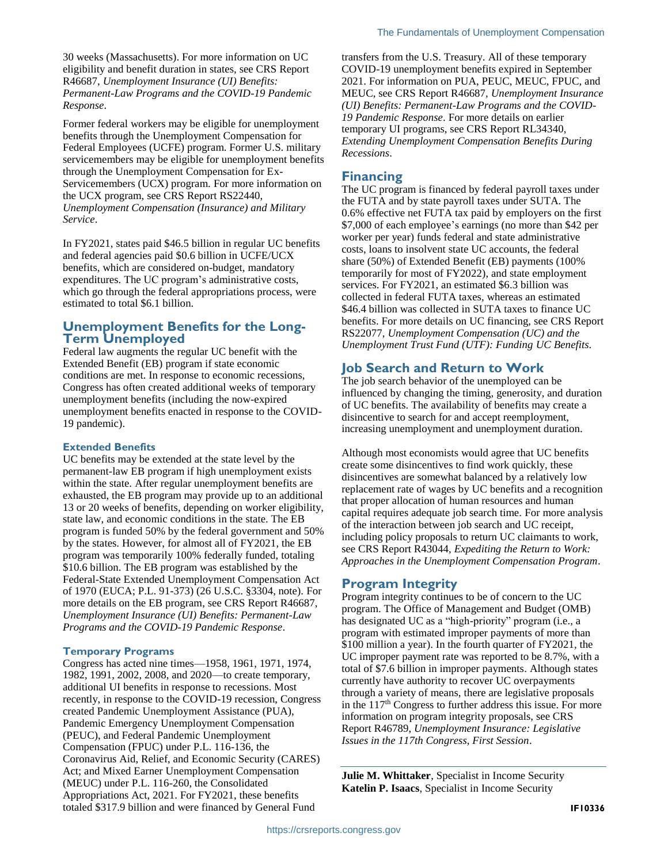30 weeks (Massachusetts). For more information on UC eligibility and benefit duration in states, see CRS Report R46687, *Unemployment Insurance (UI) Benefits: Permanent-Law Programs and the COVID-19 Pandemic Response*.

Former federal workers may be eligible for unemployment benefits through the Unemployment Compensation for Federal Employees (UCFE) program. Former U.S. military servicemembers may be eligible for unemployment benefits through the Unemployment Compensation for Ex-Servicemembers (UCX) program. For more information on the UCX program, see CRS Report RS22440, *Unemployment Compensation (Insurance) and Military Service*.

In FY2021, states paid \$46.5 billion in regular UC benefits and federal agencies paid \$0.6 billion in UCFE/UCX benefits, which are considered on-budget, mandatory expenditures. The UC program's administrative costs, which go through the federal appropriations process, were estimated to total \$6.1 billion.

#### **Unemployment Benefits for the Long-Term Unemployed**

Federal law augments the regular UC benefit with the Extended Benefit (EB) program if state economic conditions are met. In response to economic recessions, Congress has often created additional weeks of temporary unemployment benefits (including the now-expired unemployment benefits enacted in response to the COVID-19 pandemic).

#### **Extended Benefits**

UC benefits may be extended at the state level by the permanent-law EB program if high unemployment exists within the state. After regular unemployment benefits are exhausted, the EB program may provide up to an additional 13 or 20 weeks of benefits, depending on worker eligibility, state law, and economic conditions in the state. The EB program is funded 50% by the federal government and 50% by the states. However, for almost all of FY2021, the EB program was temporarily 100% federally funded, totaling \$10.6 billion. The EB program was established by the Federal-State Extended Unemployment Compensation Act of 1970 (EUCA; P.L. 91-373) (26 U.S.C. §3304, note). For more details on the EB program, see CRS Report R46687, *Unemployment Insurance (UI) Benefits: Permanent-Law Programs and the COVID-19 Pandemic Response*.

#### **Temporary Programs**

Congress has acted nine times—1958, 1961, 1971, 1974, 1982, 1991, 2002, 2008, and 2020—to create temporary, additional UI benefits in response to recessions. Most recently, in response to the COVID-19 recession, Congress created Pandemic Unemployment Assistance (PUA), Pandemic Emergency Unemployment Compensation (PEUC), and Federal Pandemic Unemployment Compensation (FPUC) under P.L. 116-136, the Coronavirus Aid, Relief, and Economic Security (CARES) Act; and Mixed Earner Unemployment Compensation (MEUC) under P.L. 116-260, the Consolidated Appropriations Act, 2021. For FY2021, these benefits totaled \$317.9 billion and were financed by General Fund

transfers from the U.S. Treasury. All of these temporary COVID-19 unemployment benefits expired in September 2021. For information on PUA, PEUC, MEUC, FPUC, and MEUC, see CRS Report R46687, *Unemployment Insurance (UI) Benefits: Permanent-Law Programs and the COVID-19 Pandemic Response*. For more details on earlier temporary UI programs, see CRS Report RL34340, *Extending Unemployment Compensation Benefits During Recessions*.

#### **Financing**

The UC program is financed by federal payroll taxes under the FUTA and by state payroll taxes under SUTA. The 0.6% effective net FUTA tax paid by employers on the first \$7,000 of each employee's earnings (no more than \$42 per worker per year) funds federal and state administrative costs, loans to insolvent state UC accounts, the federal share (50%) of Extended Benefit (EB) payments (100% temporarily for most of FY2022), and state employment services. For FY2021, an estimated \$6.3 billion was collected in federal FUTA taxes, whereas an estimated \$46.4 billion was collected in SUTA taxes to finance UC benefits. For more details on UC financing, see CRS Report RS22077, *Unemployment Compensation (UC) and the Unemployment Trust Fund (UTF): Funding UC Benefits*.

## **Job Search and Return to Work**

The job search behavior of the unemployed can be influenced by changing the timing, generosity, and duration of UC benefits. The availability of benefits may create a disincentive to search for and accept reemployment, increasing unemployment and unemployment duration.

Although most economists would agree that UC benefits create some disincentives to find work quickly, these disincentives are somewhat balanced by a relatively low replacement rate of wages by UC benefits and a recognition that proper allocation of human resources and human capital requires adequate job search time. For more analysis of the interaction between job search and UC receipt, including policy proposals to return UC claimants to work, see CRS Report R43044, *Expediting the Return to Work: Approaches in the Unemployment Compensation Program*.

### **Program Integrity**

Program integrity continues to be of concern to the UC program. The Office of Management and Budget (OMB) has designated UC as a "high-priority" program (i.e., a program with estimated improper payments of more than \$100 million a year). In the fourth quarter of FY2021, the UC improper payment rate was reported to be 8.7%, with a total of \$7.6 billion in improper payments. Although states currently have authority to recover UC overpayments through a variety of means, there are legislative proposals in the 117<sup>th</sup> Congress to further address this issue. For more information on program integrity proposals, see CRS Report R46789, *Unemployment Insurance: Legislative Issues in the 117th Congress, First Session*.

**Julie M. Whittaker**, Specialist in Income Security **Katelin P. Isaacs**, Specialist in Income Security